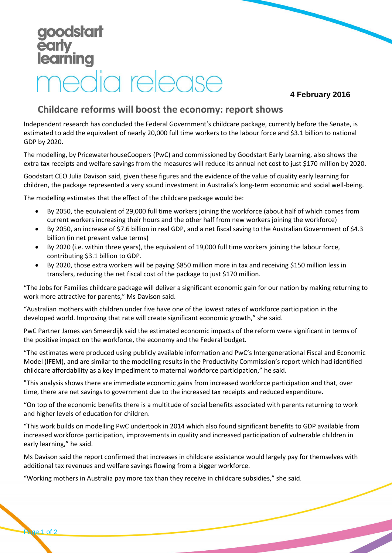## **dstart** arning redia release

## **4 February 2016**

## **Childcare reforms will boost the economy: report shows**

Independent research has concluded the Federal Government's childcare package, currently before the Senate, is estimated to add the equivalent of nearly 20,000 full time workers to the labour force and \$3.1 billion to national GDP by 2020.

The modelling, by PricewaterhouseCoopers (PwC) and commissioned by Goodstart Early Learning, also shows the extra tax receipts and welfare savings from the measures will reduce its annual net cost to just \$170 million by 2020.

Goodstart CEO Julia Davison said, given these figures and the evidence of the value of quality early learning for children, the package represented a very sound investment in Australia's long-term economic and social well-being.

The modelling estimates that the effect of the childcare package would be:

- By 2050, the equivalent of 29,000 full time workers joining the workforce (about half of which comes from current workers increasing their hours and the other half from new workers joining the workforce)
- By 2050, an increase of \$7.6 billion in real GDP, and a net fiscal saving to the Australian Government of \$4.3 billion (in net present value terms)
- By 2020 (i.e. within three years), the equivalent of 19,000 full time workers joining the labour force, contributing \$3.1 billion to GDP.
- By 2020, those extra workers will be paying \$850 million more in tax and receiving \$150 million less in transfers, reducing the net fiscal cost of the package to just \$170 million.

"The Jobs for Families childcare package will deliver a significant economic gain for our nation by making returning to work more attractive for parents," Ms Davison said.

"Australian mothers with children under five have one of the lowest rates of workforce participation in the developed world. Improving that rate will create significant economic growth," she said.

PwC Partner James van Smeerdijk said the estimated economic impacts of the reform were significant in terms of the positive impact on the workforce, the economy and the Federal budget.

"The estimates were produced using publicly available information and PwC's Intergenerational Fiscal and Economic Model (IFEM), and are similar to the modelling results in the Productivity Commission's report which had identified childcare affordability as a key impediment to maternal workforce participation," he said.

"This analysis shows there are immediate economic gains from increased workforce participation and that, over time, there are net savings to government due to the increased tax receipts and reduced expenditure.

"On top of the economic benefits there is a multitude of social benefits associated with parents returning to work and higher levels of education for children.

"This work builds on modelling PwC undertook in 2014 which also found significant benefits to GDP available from increased workforce participation, improvements in quality and increased participation of vulnerable children in early learning," he said.

Ms Davison said the report confirmed that increases in childcare assistance would largely pay for themselves with additional tax revenues and welfare savings flowing from a bigger workforce.

"Working mothers in Australia pay more tax than they receive in childcare subsidies," she said.